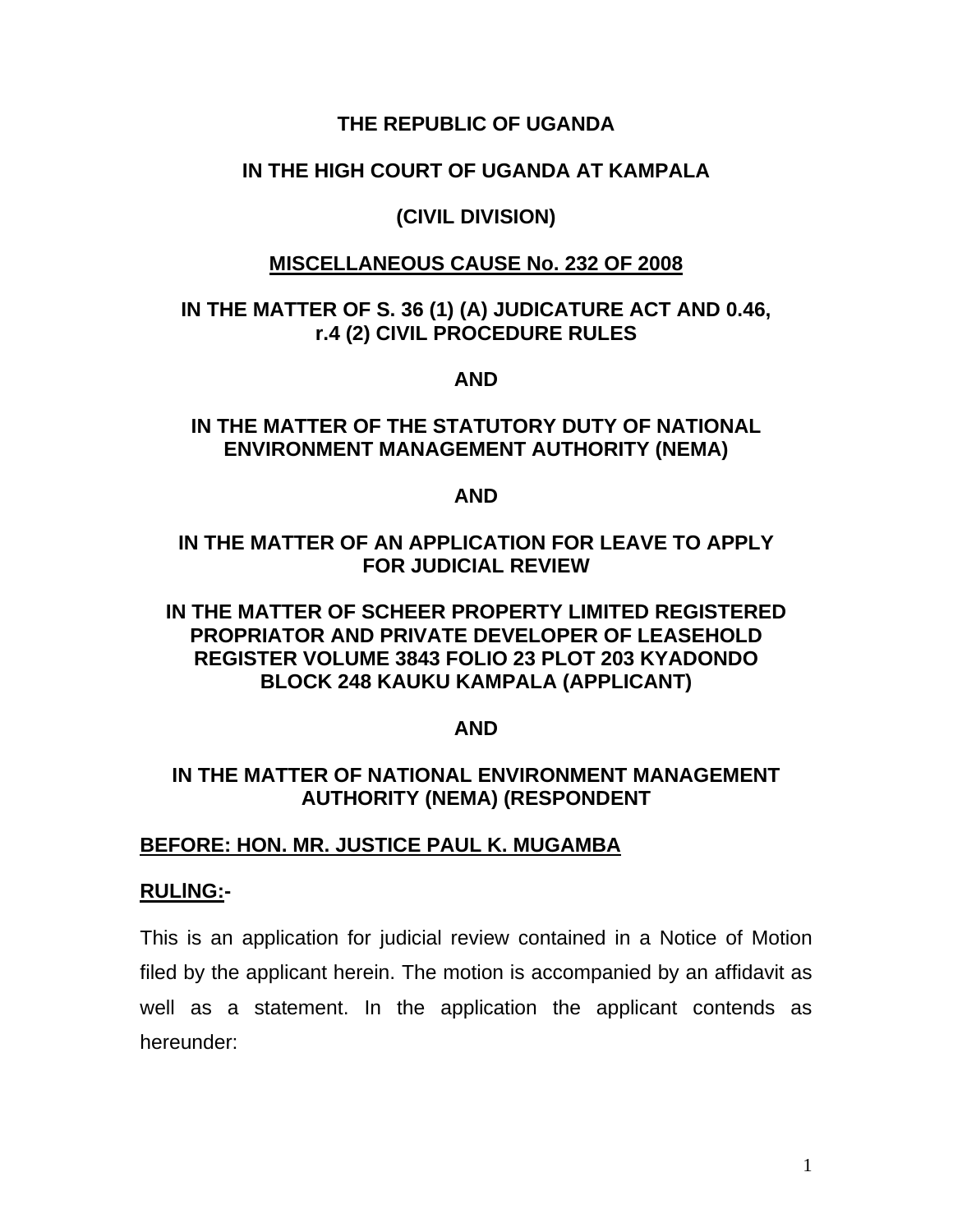### **THE REPUBLIC OF UGANDA**

## **IN THE HIGH COURT OF UGANDA AT KAMPALA**

## **(CIVIL DIVISION)**

## **MISCELLANEOUS CAUSE No. 232 OF 2008**

## **IN THE MATTER OF S. 36 (1) (A) JUDICATURE ACT AND 0.46, r.4 (2) CIVIL PROCEDURE RULES**

### **AND**

# **IN THE MATTER OF THE STATUTORY DUTY OF NATIONAL ENVIRONMENT MANAGEMENT AUTHORITY (NEMA)**

#### **AND**

# **IN THE MATTER OF AN APPLICATION FOR LEAVE TO APPLY FOR JUDICIAL REVIEW**

# **IN THE MATTER OF SCHEER PROPERTY LIMITED REGISTERED PROPRIATOR AND PRIVATE DEVELOPER OF LEASEHOLD REGISTER VOLUME 3843 FOLIO 23 PLOT 203 KYADONDO BLOCK 248 KAUKU KAMPALA (APPLICANT)**

# **AND**

## **IN THE MATTER OF NATIONAL ENVIRONMENT MANAGEMENT AUTHORITY (NEMA) (RESPONDENT**

# **BEFORE: HON. MR. JUSTICE PAUL K. MUGAMBA**

### **RULlNG:-**

This is an application for judicial review contained in a Notice of Motion filed by the applicant herein. The motion is accompanied by an affidavit as well as a statement. In the application the applicant contends as hereunder: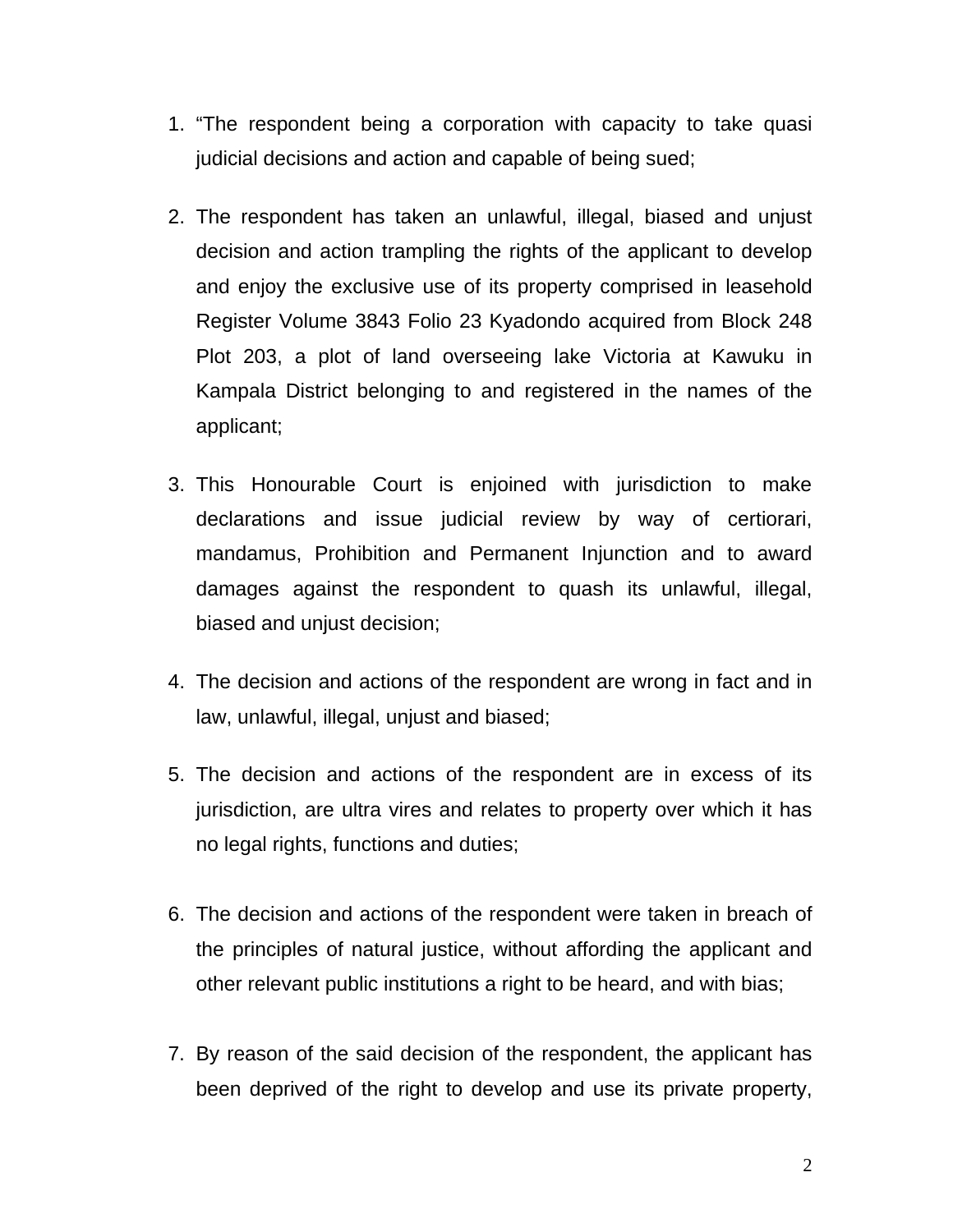- 1. "The respondent being a corporation with capacity to take quasi judicial decisions and action and capable of being sued;
- 2. The respondent has taken an unlawful, illegal, biased and unjust decision and action trampling the rights of the applicant to develop and enjoy the exclusive use of its property comprised in leasehold Register Volume 3843 Folio 23 Kyadondo acquired from Block 248 Plot 203, a plot of land overseeing lake Victoria at Kawuku in Kampala District belonging to and registered in the names of the applicant;
- 3. This Honourable Court is enjoined with jurisdiction to make declarations and issue judicial review by way of certiorari, mandamus, Prohibition and Permanent Injunction and to award damages against the respondent to quash its unlawful, illegal, biased and unjust decision;
- 4. The decision and actions of the respondent are wrong in fact and in law, unlawful, illegal, unjust and biased;
- 5. The decision and actions of the respondent are in excess of its jurisdiction, are ultra vires and relates to property over which it has no legal rights, functions and duties;
- 6. The decision and actions of the respondent were taken in breach of the principles of natural justice, without affording the applicant and other relevant public institutions a right to be heard, and with bias;
- 7. By reason of the said decision of the respondent, the applicant has been deprived of the right to develop and use its private property,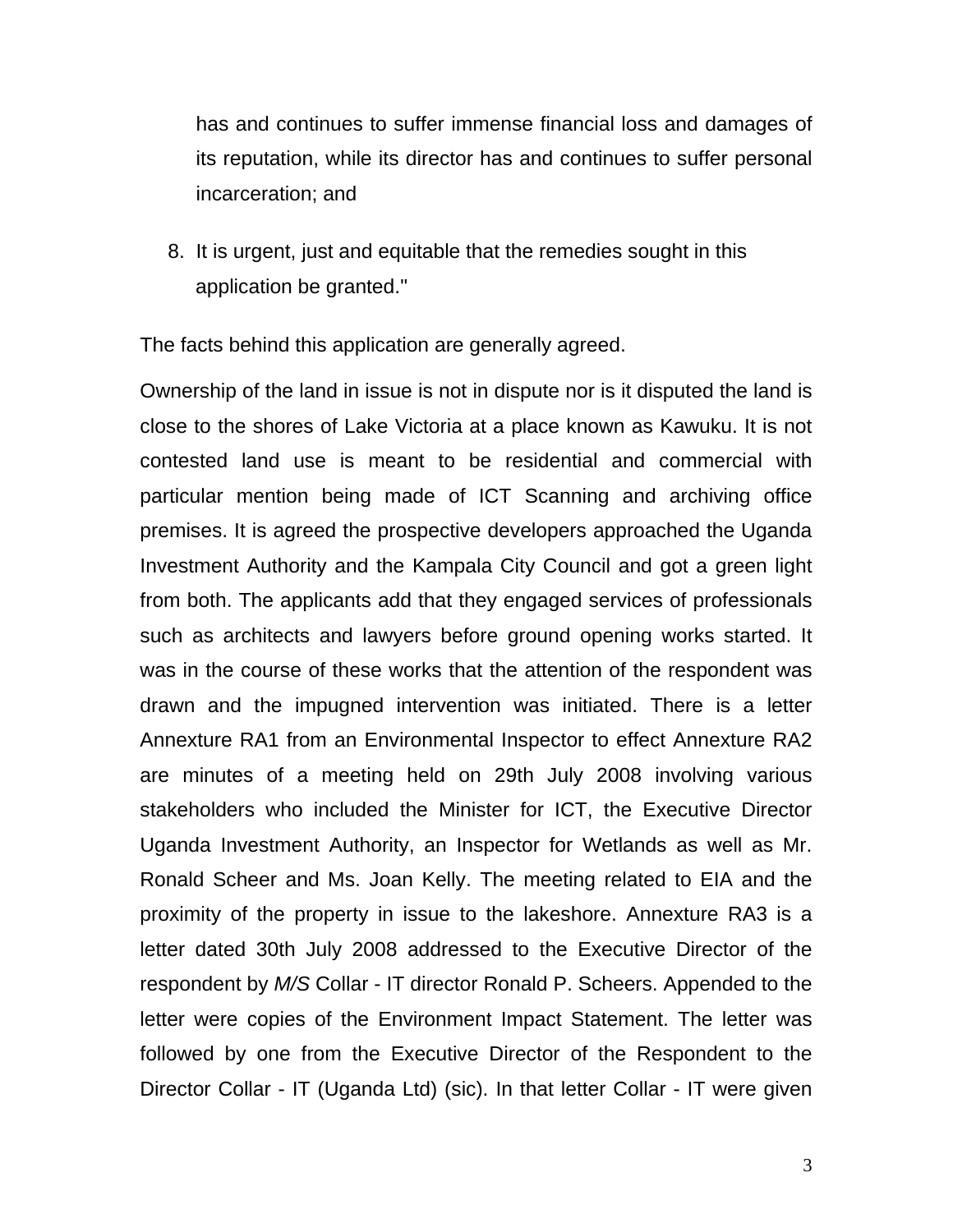has and continues to suffer immense financial loss and damages of its reputation, while its director has and continues to suffer personal incarceration; and

8. It is urgent, just and equitable that the remedies sought in this application be granted."

The facts behind this application are generally agreed.

Ownership of the land in issue is not in dispute nor is it disputed the land is close to the shores of Lake Victoria at a place known as Kawuku. It is not contested land use is meant to be residential and commercial with particular mention being made of ICT Scanning and archiving office premises. It is agreed the prospective developers approached the Uganda Investment Authority and the Kampala City Council and got a green light from both. The applicants add that they engaged services of professionals such as architects and lawyers before ground opening works started. It was in the course of these works that the attention of the respondent was drawn and the impugned intervention was initiated. There is a letter Annexture RA1 from an Environmental Inspector to effect Annexture RA2 are minutes of a meeting held on 29th July 2008 involving various stakeholders who included the Minister for ICT, the Executive Director Uganda Investment Authority, an Inspector for Wetlands as well as Mr. Ronald Scheer and Ms. Joan Kelly. The meeting related to EIA and the proximity of the property in issue to the lakeshore. Annexture RA3 is a letter dated 30th July 2008 addressed to the Executive Director of the respondent by *M/S* Collar - IT director Ronald P. Scheers. Appended to the letter were copies of the Environment Impact Statement. The letter was followed by one from the Executive Director of the Respondent to the Director Collar - IT (Uganda Ltd) (sic). In that letter Collar - IT were given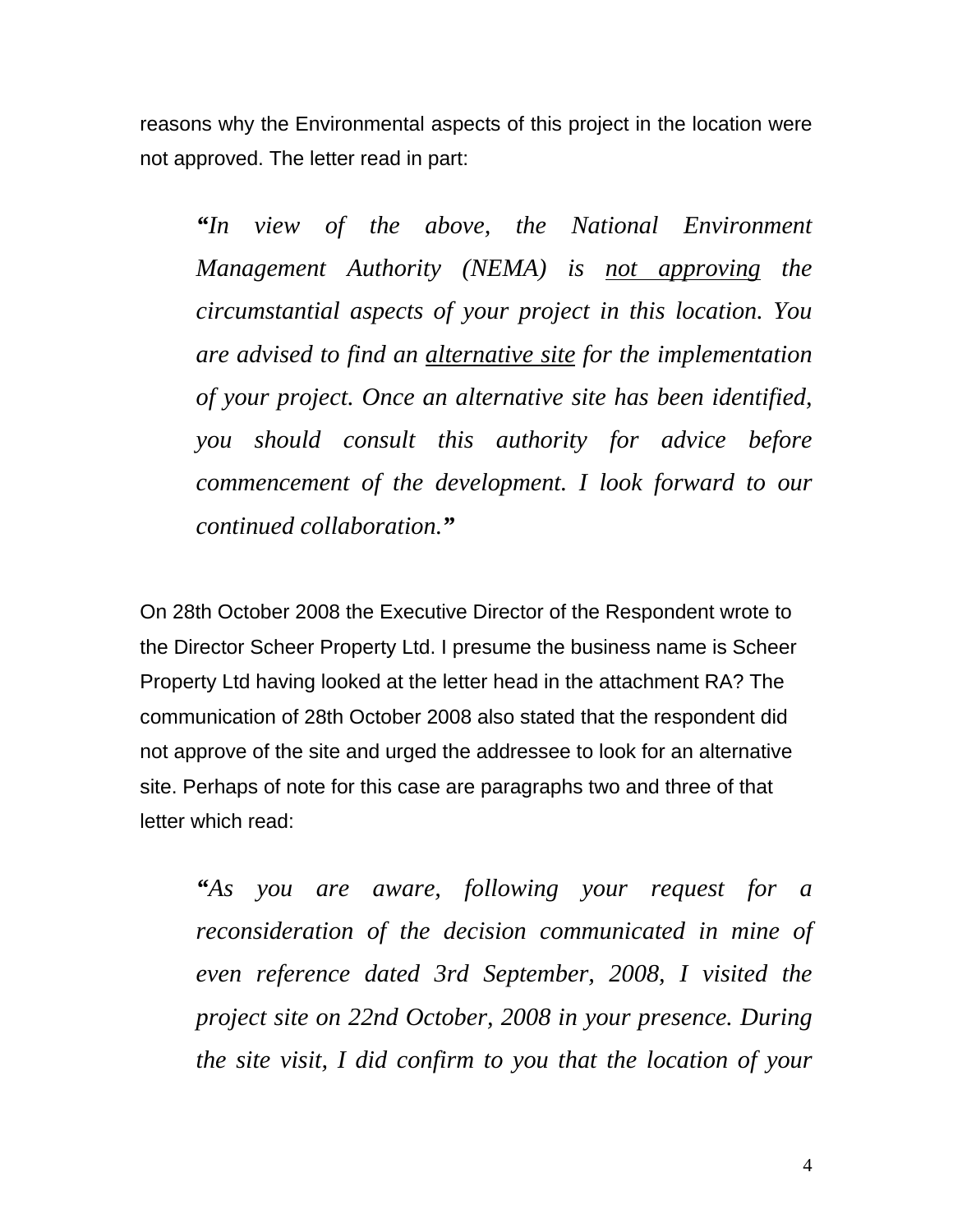reasons why the Environmental aspects of this project in the location were not approved. The letter read in part:

*"In view of the above, the National Environment Management Authority (NEMA) is not approving the circumstantial aspects of your project in this location. You are advised to find an alternative site for the implementation of your project. Once an alternative site has been identified, you should consult this authority for advice before commencement of the development. I look forward to our continued collaboration."*

On 28th October 2008 the Executive Director of the Respondent wrote to the Director Scheer Property Ltd. I presume the business name is Scheer Property Ltd having looked at the letter head in the attachment RA? The communication of 28th October 2008 also stated that the respondent did not approve of the site and urged the addressee to look for an alternative site. Perhaps of note for this case are paragraphs two and three of that letter which read:

*"As you are aware, following your request for a reconsideration of the decision communicated in mine of even reference dated 3rd September, 2008, I visited the project site on 22nd October, 2008 in your presence. During the site visit, I did confirm to you that the location of your*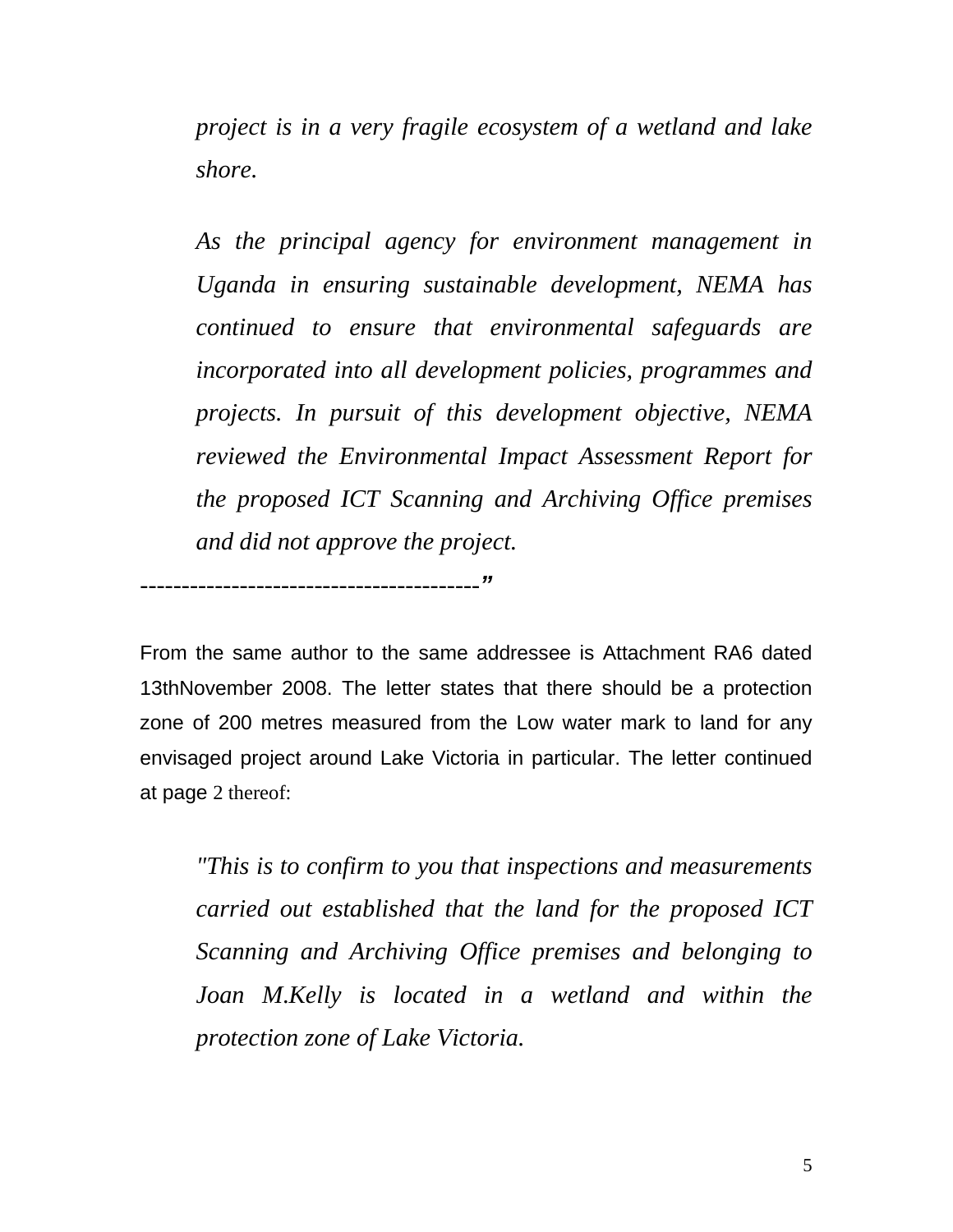*project is in a very fragile ecosystem of a wetland and lake shore.* 

*As the principal agency for environment management in Uganda in ensuring sustainable development, NEMA has continued to ensure that environmental safeguards are incorporated into all development policies, programmes and projects. In pursuit of this development objective, NEMA reviewed the Environmental Impact Assessment Report for the proposed ICT Scanning and Archiving Office premises and did not approve the project.* 

*-----------------------------------------"*

From the same author to the same addressee is Attachment RA6 dated 13thNovember 2008. The letter states that there should be a protection zone of 200 metres measured from the Low water mark to land for any envisaged project around Lake Victoria in particular. The letter continued at page 2 thereof:

*"This is to confirm to you that inspections and measurements carried out established that the land for the proposed ICT Scanning and Archiving Office premises and belonging to Joan M*.*Kelly is located in a wetland and within the protection zone of Lake Victoria.*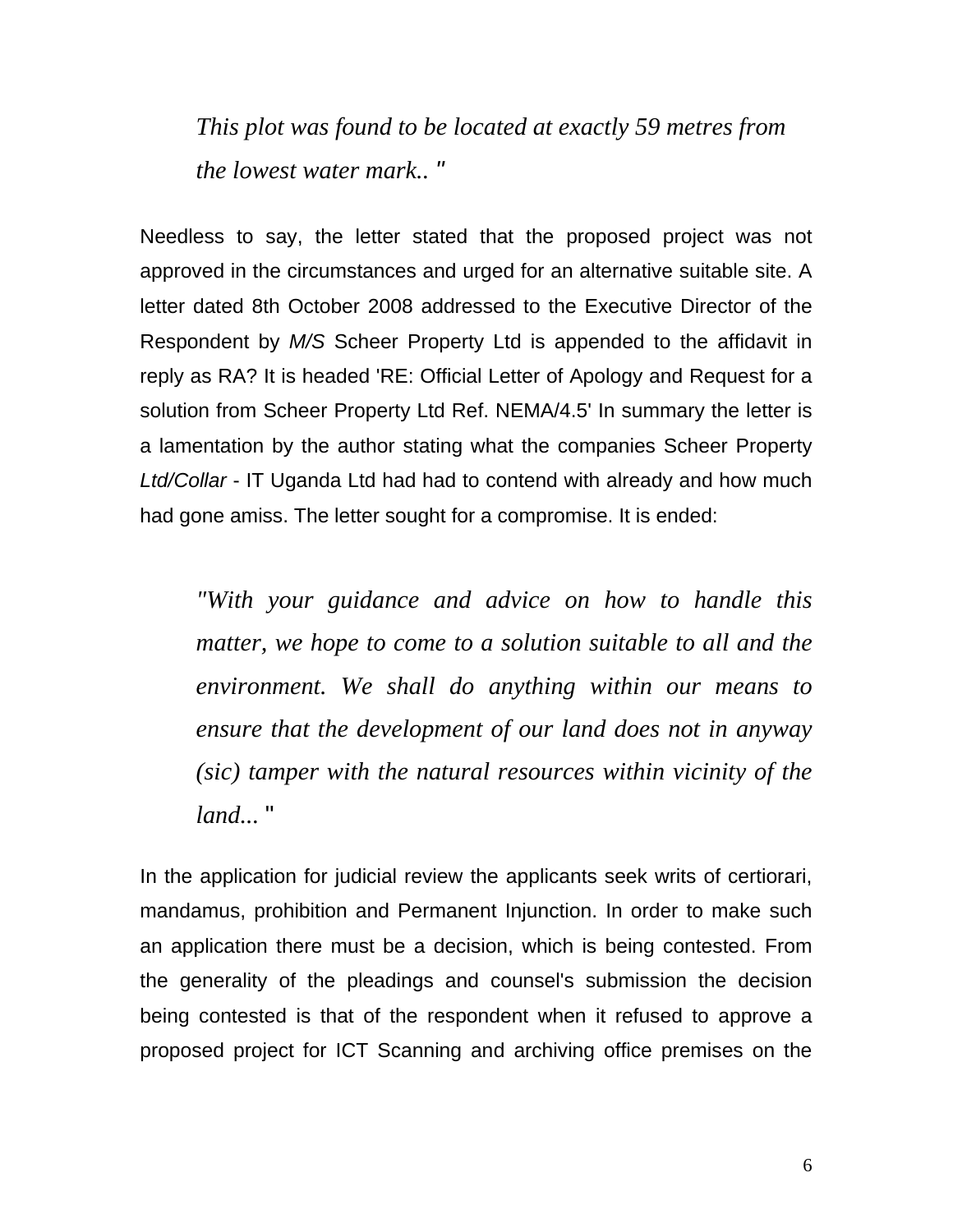*This plot was found to be located at exactly 59 metres from the lowest water mark.. "*

Needless to say, the letter stated that the proposed project was not approved in the circumstances and urged for an alternative suitable site. A letter dated 8th October 2008 addressed to the Executive Director of the Respondent by *M/S* Scheer Property Ltd is appended to the affidavit in reply as RA? It is headed 'RE: Official Letter of Apology and Request for a solution from Scheer Property Ltd Ref. NEMA/4.5' In summary the letter is a lamentation by the author stating what the companies Scheer Property *Ltd/Collar* - IT Uganda Ltd had had to contend with already and how much had gone amiss. The letter sought for a compromise. It is ended:

*"With your guidance and advice on how to handle this matter, we hope to come to a solution suitable to all and the environment. We shall do anything within our means to ensure that the development of our land does not in anyway (sic) tamper with the natural resources within vicinity of the land...* "

In the application for judicial review the applicants seek writs of certiorari, mandamus, prohibition and Permanent Injunction. In order to make such an application there must be a decision, which is being contested. From the generality of the pleadings and counsel's submission the decision being contested is that of the respondent when it refused to approve a proposed project for ICT Scanning and archiving office premises on the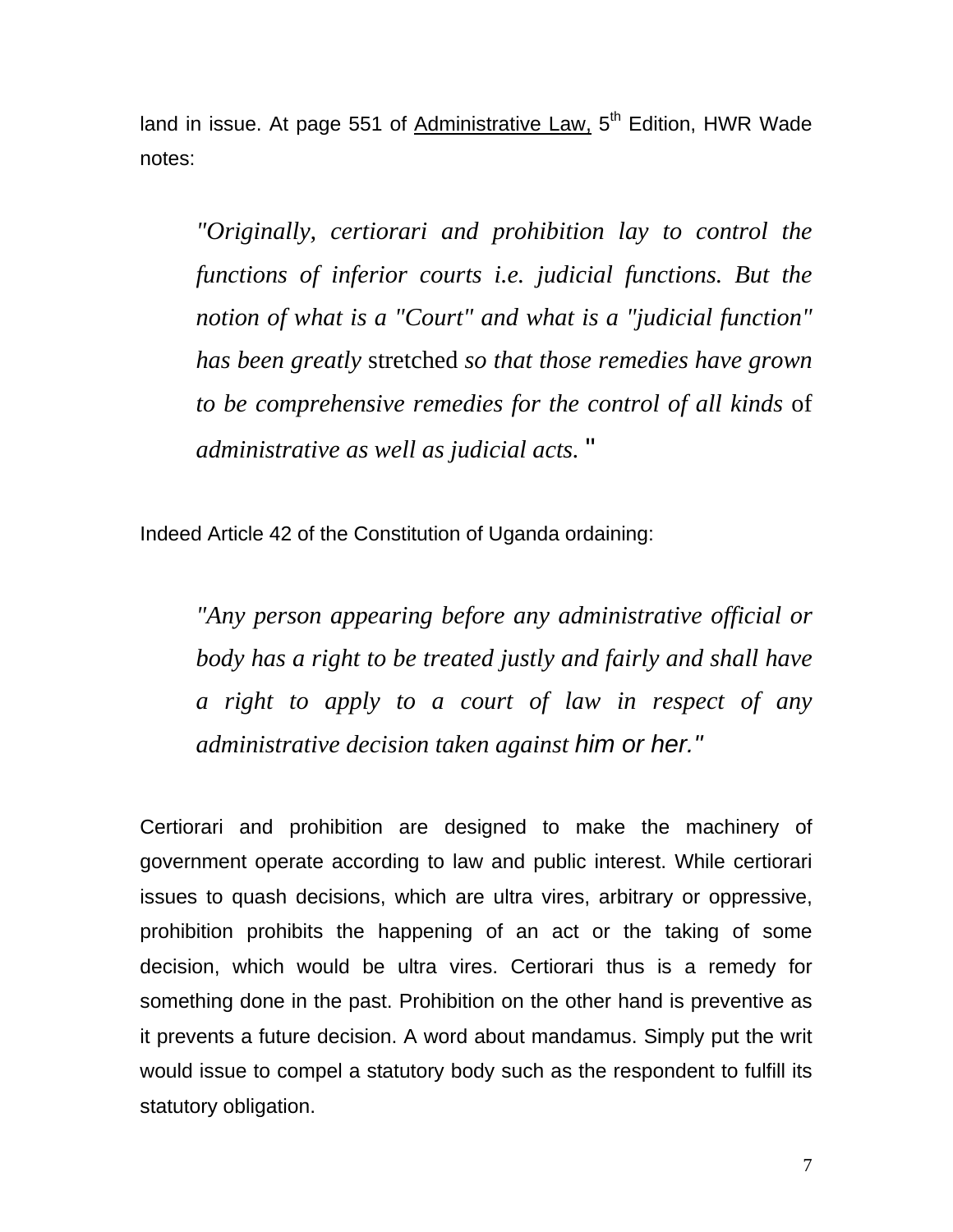land in issue. At page 551 of Administrative Law,  $5<sup>th</sup>$  Edition, HWR Wade notes:

*"Originally, certiorari and prohibition lay to control the functions of inferior courts i.e. judicial functions. But the notion of what is a "Court" and what is a "judicial function" has been greatly* stretched *so that those remedies have grown to be comprehensive remedies for the control of all kinds* of *administrative as well as judicial acts.* "

Indeed Article 42 of the Constitution of Uganda ordaining:

*"Any person appearing before any administrative official or body has a right to be treated justly and fairly and shall have a right to apply to a court of law in respect of any administrative decision taken against him or her."* 

Certiorari and prohibition are designed to make the machinery of government operate according to law and public interest. While certiorari issues to quash decisions, which are ultra vires, arbitrary or oppressive, prohibition prohibits the happening of an act or the taking of some decision, which would be ultra vires. Certiorari thus is a remedy for something done in the past. Prohibition on the other hand is preventive as it prevents a future decision. A word about mandamus. Simply put the writ would issue to compel a statutory body such as the respondent to fulfill its statutory obligation.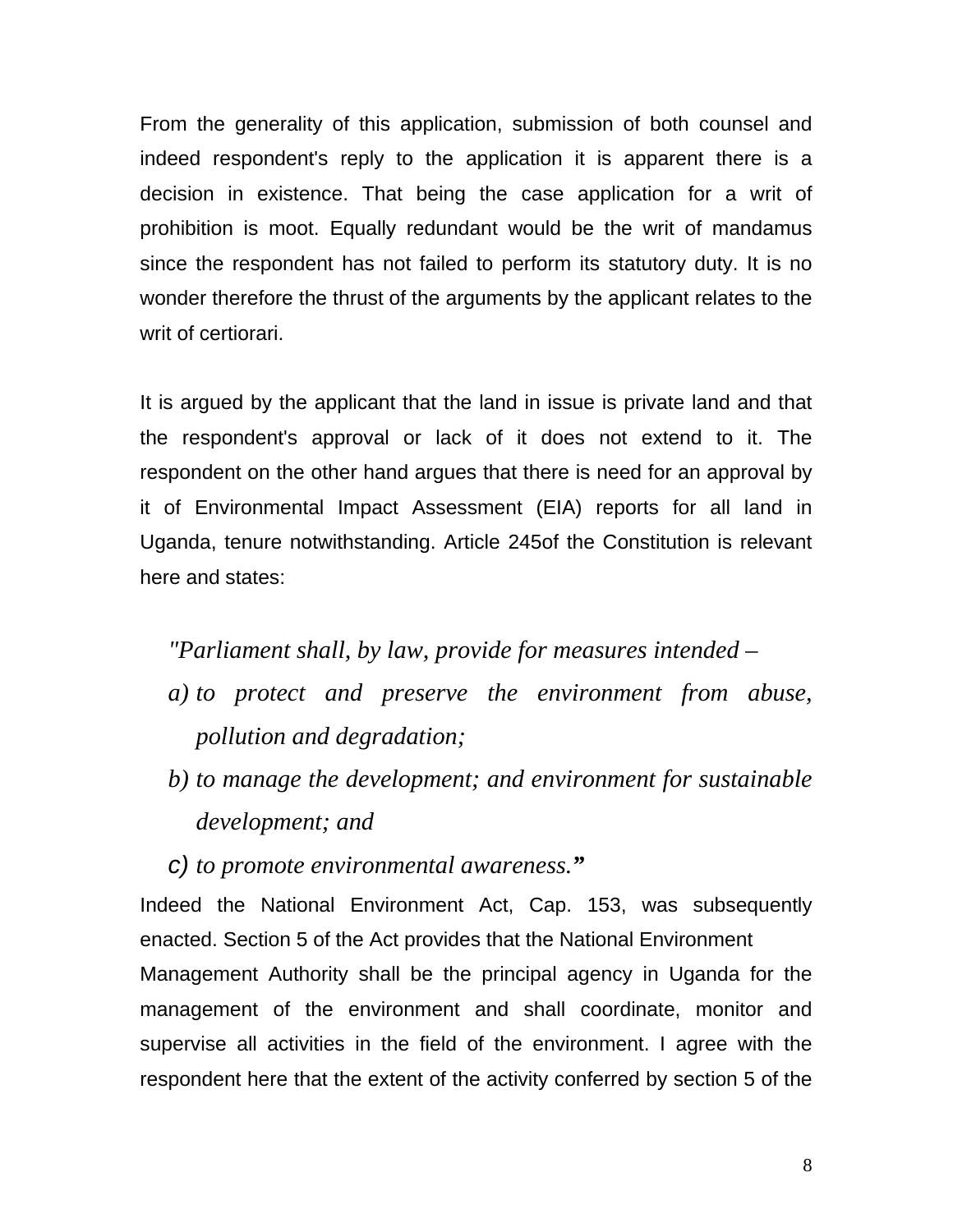From the generality of this application, submission of both counsel and indeed respondent's reply to the application it is apparent there is a decision in existence. That being the case application for a writ of prohibition is moot. Equally redundant would be the writ of mandamus since the respondent has not failed to perform its statutory duty. It is no wonder therefore the thrust of the arguments by the applicant relates to the writ of certiorari.

It is argued by the applicant that the land in issue is private land and that the respondent's approval or lack of it does not extend to it. The respondent on the other hand argues that there is need for an approval by it of Environmental Impact Assessment (EIA) reports for all land in Uganda, tenure notwithstanding. Article 245of the Constitution is relevant here and states:

*"Parliament shall, by law, provide for measures intended* –

- *a) to protect and preserve the environment from abuse, pollution and degradation;*
- *b) to manage the development; and environment for sustainable development; and*
- *c) to promote environmental awareness."*

Indeed the National Environment Act, Cap. 153, was subsequently enacted. Section 5 of the Act provides that the National Environment Management Authority shall be the principal agency in Uganda for the management of the environment and shall coordinate, monitor and supervise all activities in the field of the environment. I agree with the respondent here that the extent of the activity conferred by section 5 of the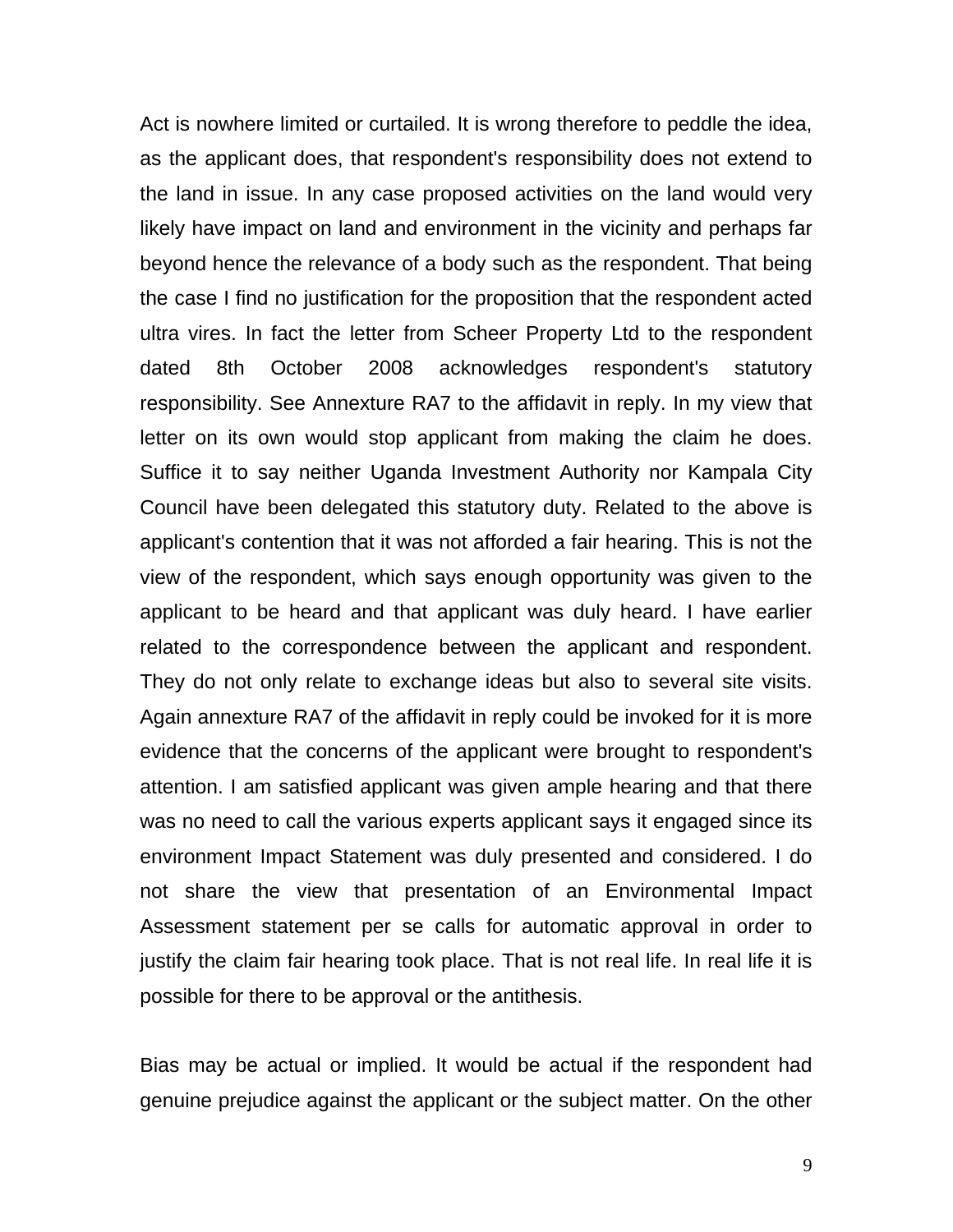Act is nowhere limited or curtailed. It is wrong therefore to peddle the idea, as the applicant does, that respondent's responsibility does not extend to the land in issue. In any case proposed activities on the land would very likely have impact on land and environment in the vicinity and perhaps far beyond hence the relevance of a body such as the respondent. That being the case I find no justification for the proposition that the respondent acted ultra vires. In fact the letter from Scheer Property Ltd to the respondent dated 8th October 2008 acknowledges respondent's statutory responsibility. See Annexture RA7 to the affidavit in reply. In my view that letter on its own would stop applicant from making the claim he does. Suffice it to say neither Uganda Investment Authority nor Kampala City Council have been delegated this statutory duty. Related to the above is applicant's contention that it was not afforded a fair hearing. This is not the view of the respondent, which says enough opportunity was given to the applicant to be heard and that applicant was duly heard. I have earlier related to the correspondence between the applicant and respondent. They do not only relate to exchange ideas but also to several site visits. Again annexture RA7 of the affidavit in reply could be invoked for it is more evidence that the concerns of the applicant were brought to respondent's attention. I am satisfied applicant was given ample hearing and that there was no need to call the various experts applicant says it engaged since its environment Impact Statement was duly presented and considered. I do not share the view that presentation of an Environmental Impact Assessment statement per se calls for automatic approval in order to justify the claim fair hearing took place. That is not real life. In real life it is possible for there to be approval or the antithesis.

Bias may be actual or implied. It would be actual if the respondent had genuine prejudice against the applicant or the subject matter. On the other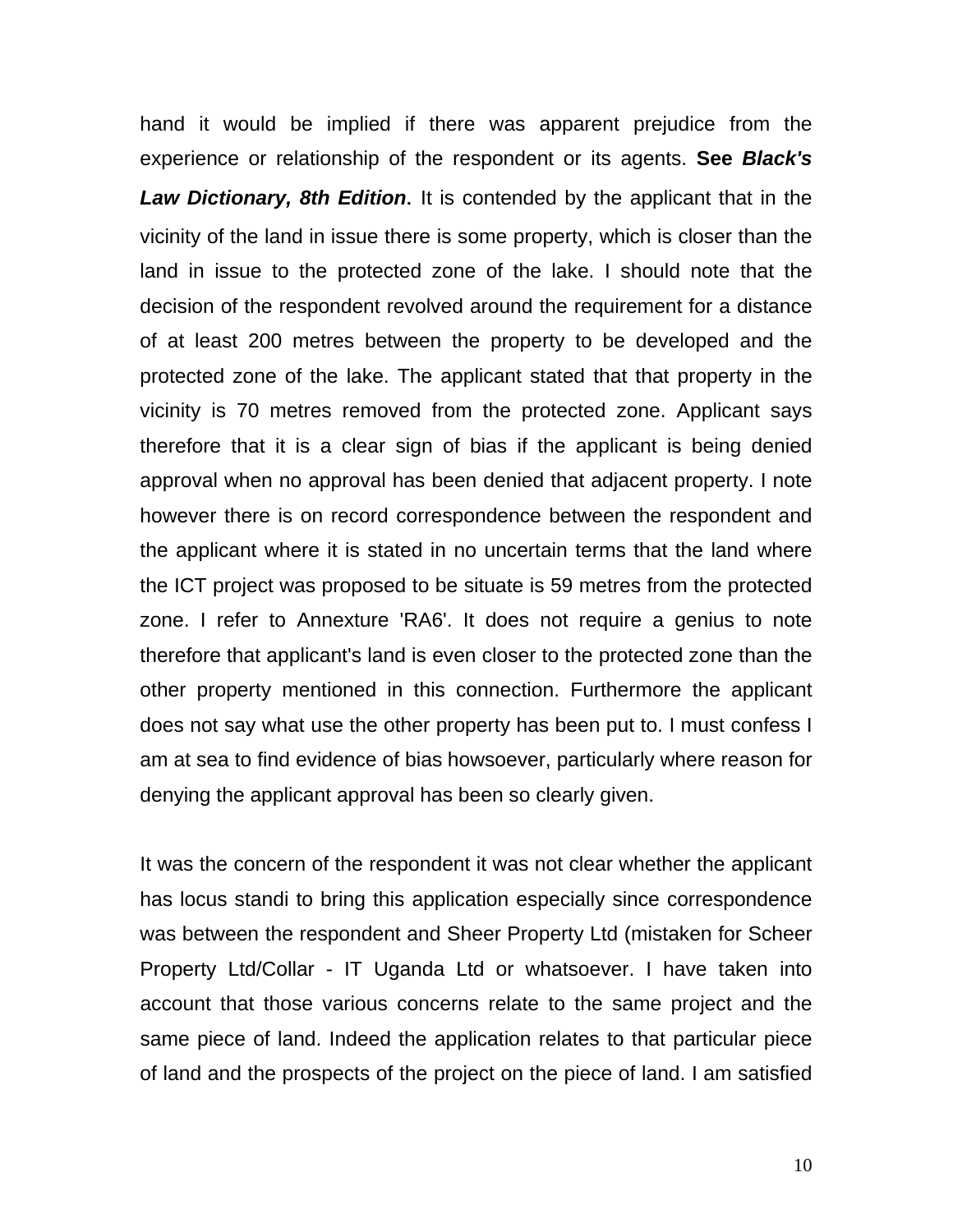hand it would be implied if there was apparent prejudice from the experience or relationship of the respondent or its agents. **See** *Black's Law Dictionary, 8th Edition.* It is contended by the applicant that in the vicinity of the land in issue there is some property, which is closer than the land in issue to the protected zone of the lake. I should note that the decision of the respondent revolved around the requirement for a distance of at least 200 metres between the property to be developed and the protected zone of the lake. The applicant stated that that property in the vicinity is 70 metres removed from the protected zone. Applicant says therefore that it is a clear sign of bias if the applicant is being denied approval when no approval has been denied that adjacent property. I note however there is on record correspondence between the respondent and the applicant where it is stated in no uncertain terms that the land where the ICT project was proposed to be situate is 59 metres from the protected zone. I refer to Annexture 'RA6'. It does not require a genius to note therefore that applicant's land is even closer to the protected zone than the other property mentioned in this connection. Furthermore the applicant does not say what use the other property has been put to. I must confess I am at sea to find evidence of bias howsoever, particularly where reason for denying the applicant approval has been so clearly given.

It was the concern of the respondent it was not clear whether the applicant has locus standi to bring this application especially since correspondence was between the respondent and Sheer Property Ltd (mistaken for Scheer Property Ltd/Collar - IT Uganda Ltd or whatsoever. I have taken into account that those various concerns relate to the same project and the same piece of land. Indeed the application relates to that particular piece of land and the prospects of the project on the piece of land. I am satisfied